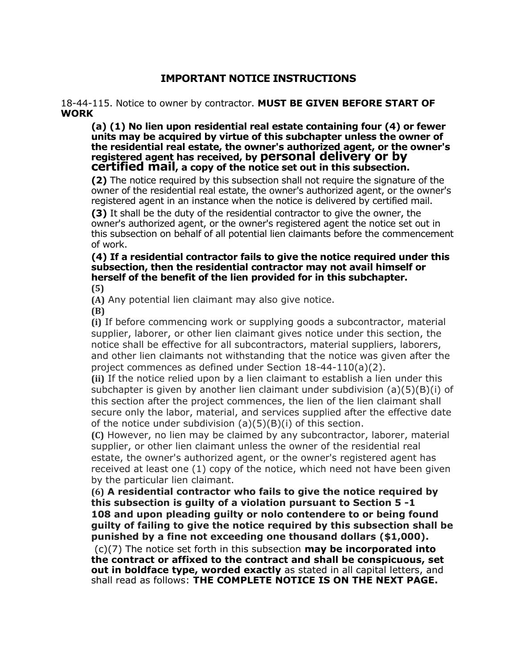## IMPORTANT NOTICE INSTRUCTIONS

## 18-44-115. Notice to owner by contractor. MUST BE GIVEN BEFORE START OF WORK

(a) (1) No lien upon residential real estate containing four (4) or fewer units may be acquired by virtue of this subchapter unless the owner of the residential real estate, the owner's authorized agent, or the owner's registered agent has received, by personal delivery or by certified mail, a copy of the notice set out in this subsection.

(2) The notice required by this subsection shall not require the signature of the owner of the residential real estate, the owner's authorized agent, or the owner's registered agent in an instance when the notice is delivered by certified mail.

(3) It shall be the duty of the residential contractor to give the owner, the owner's authorized agent, or the owner's registered agent the notice set out in this subsection on behalf of all potential lien claimants before the commencement of work.

## (4) If a residential contractor fails to give the notice required under this subsection, then the residential contractor may not avail himself or herself of the benefit of the lien provided for in this subchapter. (5)

(A) Any potential lien claimant may also give notice.

(B)

(i) If before commencing work or supplying goods a subcontractor, material supplier, laborer, or other lien claimant gives notice under this section, the notice shall be effective for all subcontractors, material suppliers, laborers, and other lien claimants not withstanding that the notice was given after the project commences as defined under Section 18-44-110(a)(2).

(ii) If the notice relied upon by a lien claimant to establish a lien under this subchapter is given by another lien claimant under subdivision  $(a)(5)(B)(i)$  of this section after the project commences, the lien of the lien claimant shall secure only the labor, material, and services supplied after the effective date of the notice under subdivision (a)(5)(B)(i) of this section.

(C) However, no lien may be claimed by any subcontractor, laborer, material supplier, or other lien claimant unless the owner of the residential real estate, the owner's authorized agent, or the owner's registered agent has received at least one (1) copy of the notice, which need not have been given by the particular lien claimant.

(6) A residential contractor who fails to give the notice required by this subsection is guilty of a violation pursuant to Section 5 -1 108 and upon pleading guilty or nolo contendere to or being found guilty of failing to give the notice required by this subsection shall be punished by a fine not exceeding one thousand dollars (\$1,000).

 $(c)(7)$  The notice set forth in this subsection **may be incorporated into** the contract or affixed to the contract and shall be conspicuous, set out in boldface type, worded exactly as stated in all capital letters, and shall read as follows: THE COMPLETE NOTICE IS ON THE NEXT PAGE.